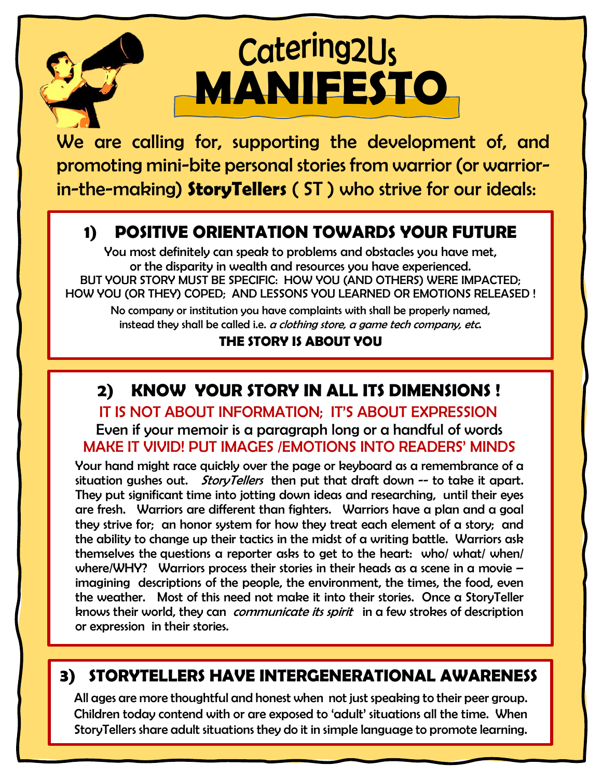# Catering2Us **MANIFESTO**

We are calling for, supporting the development of, and promoting mini-bite personal stories from warrior (or warriorin-the-making) **StoryTellers** ( ST ) who strive for our ideals:

# **1) POSITIVE ORIENTATION TOWARDS YOUR FUTURE**

You most definitely can speak to problems and obstacles you have met, or the disparity in wealth and resources you have experienced. BUT YOUR STORY MUST BE SPECIFIC: HOW YOU (AND OTHERS) WERE IMPACTED; HOW YOU (OR THEY) COPED; AND LESSONS YOU LEARNED OR EMOTIONS RELEASED !

No company or institution you have complaints with shall be properly named, instead they shall be called i.e.  $\alpha$  clothing store, a game tech company, etc.

### **THE STORY IS ABOUT YOU**

# **2) KNOW YOUR STORY IN ALL ITS DIMENSIONS !**

 IT IS NOT ABOUT INFORMATION; IT'S ABOUT EXPRESSION Even if your memoir is a paragraph long or a handful of words MAKE IT VIVID! PUT IMAGES /EMOTIONS INTO READERS' MINDS

Your hand might race quickly over the page or keyboard as a remembrance of a situation gushes out. *StoryTellers* then put that draft down  $-$  to take it apart. They put significant time into jotting down ideas and researching, until their eyes are fresh. Warriors are different than fighters. Warriors have a plan and a goal they strive for; an honor system for how they treat each element of a story; and the ability to change up their tactics in the midst of a writing battle. Warriors ask themselves the [questions](https://www.poynter.org/reporting-editing/2011/6-questions-that-can-help-journalists-find-a-focus-tell-better-stories/) a reporter asks to get to the heart: who/ what/ when/ where/WHY? Warriors process their stories in their heads as a scene in a movie – imagining descriptions of the people, the environment, the times, the food, even the weather. Most of this need not make it into their stories. Once a StoryTeller knows their world, they can *communicate its spirit* in a few strokes of description or expression in their stories.

### **3) STORYTELLERS HAVE INTERGENERATIONAL AWARENESS**

All ages are more thoughtful and honest when not just speaking to their peer group. Children today contend with or are exposed to 'adult' situations all the time. When StoryTellers share adult situations they do it in simple language to promote learning.